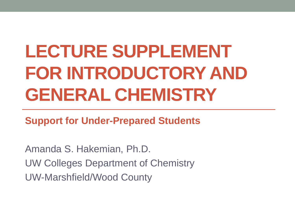# **LECTURE SUPPLEMENT FOR INTRODUCTORY AND GENERAL CHEMISTRY**

**Support for Under-Prepared Students**

Amanda S. Hakemian, Ph.D. UW Colleges Department of Chemistry UW-Marshfield/Wood County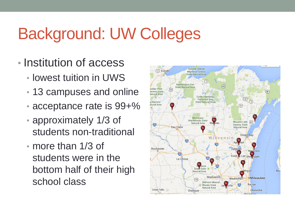## Background: UW Colleges

- Institution of access
	- lowest tuition in UWS
	- 13 campuses and online
	- acceptance rate is 99+%
	- approximately 1/3 of students non-traditional
	- more than 1/3 of students were in the bottom half of their high school class

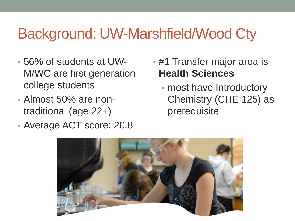#### Background: UW-Marshfield/Wood Cty

- 56% of students at UW-M/WC are first generation college students
- Almost 50% are nontraditional (age 22+)
- Average ACT score: 20.8
- #1 Transfer major area is **Health Sciences**
	- most have Introductory Chemistry (CHE 125) as prerequisite

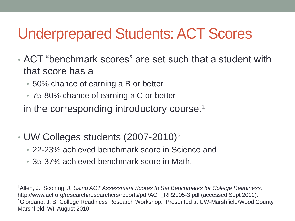#### Underprepared Students: ACT Scores

- ACT "benchmark scores" are set such that a student with that score has a
	- 50% chance of earning a B or better
	- 75-80% chance of earning a C or better

in the corresponding introductory course.<sup>1</sup>

- UW Colleges students (2007-2010)<sup>2</sup>
	- 22-23% achieved benchmark score in Science and
	- 35-37% achieved benchmark score in Math.

<sup>1</sup>Allen, J.; Sconing, J. *Using ACT Assessment Scores to Set Benchmarks for College Readiness.* http://www.act.org/research/researchers/reports/pdf/ACT\_RR2005-3.pdf (accessed Sept 2012). <sup>2</sup>Giordano, J. B. College Readiness Research Workshop. Presented at UW-Marshfield/Wood County, Marshfield, WI, August 2010.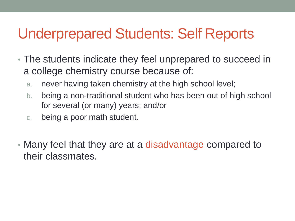#### Underprepared Students: Self Reports

- The students indicate they feel unprepared to succeed in a college chemistry course because of:
	- a. never having taken chemistry at the high school level;
	- b. being a non-traditional student who has been out of high school for several (or many) years; and/or
	- c. being a poor math student.
- Many feel that they are at a disadvantage compared to their classmates.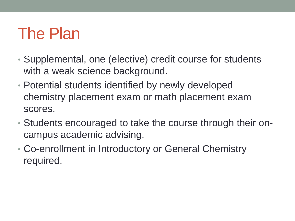### The Plan

- Supplemental, one (elective) credit course for students with a weak science background.
- Potential students identified by newly developed chemistry placement exam or math placement exam scores.
- Students encouraged to take the course through their oncampus academic advising.
- Co-enrollment in Introductory or General Chemistry required.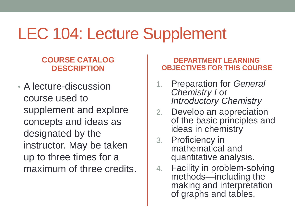### LEC 104: Lecture Supplement

#### **COURSE CATALOG DESCRIPTION**

• A lecture-discussion course used to supplement and explore concepts and ideas as designated by the instructor. May be taken up to three times for a maximum of three credits.

#### **DEPARTMENT LEARNING OBJECTIVES FOR THIS COURSE**

- 1. Preparation for *General Chemistry I* or *Introductory Chemistry*
- 2. Develop an appreciation of the basic principles and ideas in chemistry
- 3. Proficiency in mathematical and quantitative analysis.
- 4. Facility in problem-solving methods—including the making and interpretation of graphs and tables.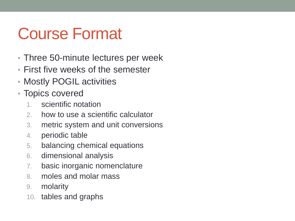## Course Format

- Three 50-minute lectures per week
- First five weeks of the semester
- Mostly POGIL activities
- Topics covered
	- 1. scientific notation
	- 2. how to use a scientific calculator
	- 3. metric system and unit conversions
	- 4. periodic table
	- 5. balancing chemical equations
	- 6. dimensional analysis
	- 7. basic inorganic nomenclature
	- 8. moles and molar mass
	- 9. molarity
	- 10. tables and graphs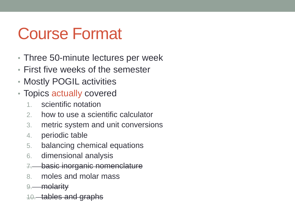## Course Format

- Three 50-minute lectures per week
- First five weeks of the semester
- Mostly POGIL activities
- Topics actually covered
	- 1. scientific notation
	- 2. how to use a scientific calculator
	- 3. metric system and unit conversions
	- 4. periodic table
	- 5. balancing chemical equations
	- 6. dimensional analysis
	- **basic inorganic nomenclature**
	- 8. moles and molar mass
	- 9. molarity
	- 10. tables and graphs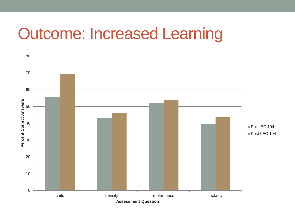#### Outcome: Increased Learning

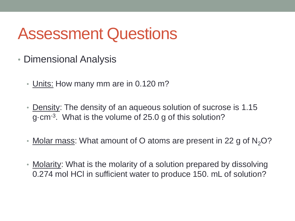### Assessment Questions

- Dimensional Analysis
	- Units: How many mm are in 0.120 m?
	- Density: The density of an aqueous solution of sucrose is 1.15 g·cm-3 . What is the volume of 25.0 g of this solution?
	- Molar mass: What amount of O atoms are present in 22 g of  $N<sub>2</sub>O$ ?
	- Molarity: What is the molarity of a solution prepared by dissolving 0.274 mol HCl in sufficient water to produce 150. mL of solution?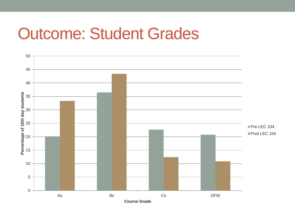#### Outcome: Student Grades

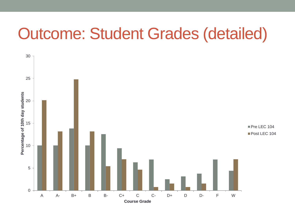#### Outcome: Student Grades (detailed)

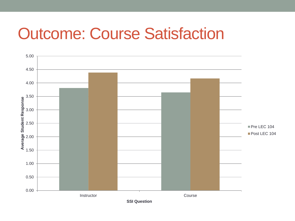#### Outcome: Course Satisfaction

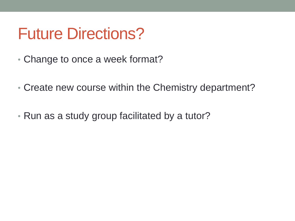#### Future Directions?

- Change to once a week format?
- Create new course within the Chemistry department?
- Run as a study group facilitated by a tutor?